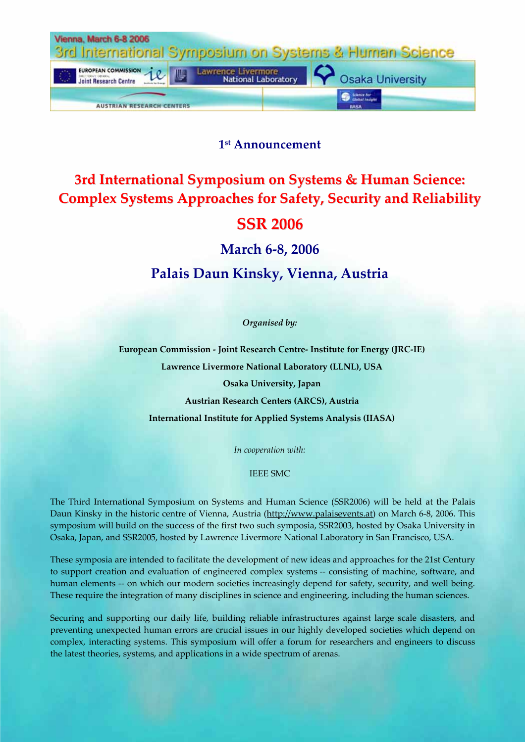

# **1st Announcement**

# **3rd International Symposium on Systems & Human Science: Complex Systems Approaches for Safety, Security and Reliability**

# **SSR 2006**

# **March 6‐8, 2006**

# **Palais Daun Kinsky, Vienna, Austria**

*Organised by:*

**European Commission ‐ Joint Research Centre‐ Institute for Energy (JRC‐IE) Lawrence Livermore National Laboratory (LLNL), USA Osaka University, Japan Austrian Research Centers (ARCS), Austria International Institute for Applied Systems Analysis (IIASA)**

*In cooperation with:*

### IEEE SMC

The Third International Symposium on Systems and Human Science (SSR2006) will be held at the Palais Daun Kinsky in the historic centre of Vienna, Austria (http://www.palaisevents.at) on March 6‐8, 2006. This symposium will build on the success of the first two such symposia, SSR2003, hosted by Osaka University in Osaka, Japan, and SSR2005, hosted by Lawrence Livermore National Laboratory in San Francisco, USA.

These symposia are intended to facilitate the development of new ideas and approaches for the 21st Century to support creation and evaluation of engineered complex systems -- consisting of machine, software, and human elements -- on which our modern societies increasingly depend for safety, security, and well being. These require the integration of many disciplines in science and engineering, including the human sciences.

Securing and supporting our daily life, building reliable infrastructures against large scale disasters, and preventing unexpected human errors are crucial issues in our highly developed societies which depend on complex, interacting systems. This symposium will offer a forum for researchers and engineers to discuss the latest theories, systems, and applications in a wide spectrum of arenas.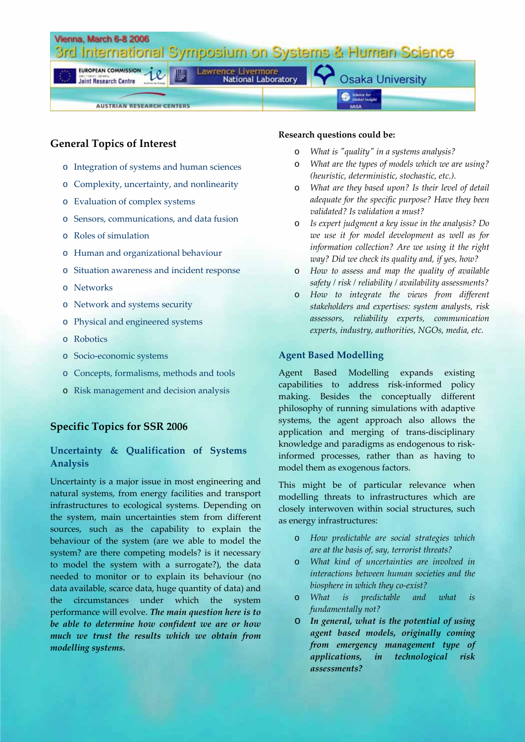

## **General Topics of Interest**

- o Integration of systems and human sciences
- o Complexity, uncertainty, and nonlinearity
- o Evaluation of complex systems
- o Sensors, communications, and data fusion
- o Roles of simulation
- o Human and organizational behaviour
- o Situation awareness and incident response
- o Networks
- o Network and systems security
- o Physical and engineered systems
- o Robotics
- o Socio‐economic systems
- o Concepts, formalisms, methods and tools
- o Risk management and decision analysis

## **Specific Topics for SSR 2006**

## **Uncertainty & Qualification of Systems Analysis**

Uncertainty is a major issue in most engineering and natural systems, from energy facilities and transport infrastructures to ecological systems. Depending on the system, main uncertainties stem from different sources, such as the capability to explain the behaviour of the system (are we able to model the system? are there competing models? is it necessary to model the system with a surrogate?), the data needed to monitor or to explain its behaviour (no data available, scarce data, huge quantity of data) and the circumstances under which the system performance will evolve. *The main question here is to be able to determine how confident we are or how much we trust the results which we obtain from modelling systems.*

### **Research questions could be:**

- o *What is ʺqualityʺ in a systems analysis?*
- o *What are the types of models which we are using? (heuristic, deterministic, stochastic, etc.).*
- o *What are they based upon? Is their level of detail adequate for the specific purpose? Have they been validated? Is validation a must?*
- o *Is expert judgment a key issue in the analysis? Do we use it for model development as well as for information collection? Are we using it the right way? Did we check its quality and, if yes, how?*
- o *How to assess and map the quality of available safety / risk / reliability / availability assessments?*
- o *How to integrate the views from different stakeholders and expertises: system analysts, risk assessors, reliability experts, communication experts, industry, authorities, NGOs, media, etc.*

## **Agent Based Modelling**

Agent Based Modelling expands existing capabilities to address risk‐informed policy making. Besides the conceptually different philosophy of running simulations with adaptive systems, the agent approach also allows the application and merging of trans‐disciplinary knowledge and paradigms as endogenous to risk‐ informed processes, rather than as having to model them as exogenous factors.

This might be of particular relevance when modelling threats to infrastructures which are closely interwoven within social structures, such as energy infrastructures:

- o *How predictable are social strategies which are at the basis of, say, terrorist threats?*
- o *What kind of uncertainties are involved in interactions between human societies and the biosphere in which they co‐exist?*
- o *What is predictable and what is fundamentally not?*
- o *In general, what is the potential of using agent based models, originally coming from emergency management type of applications, in technological risk assessments?*